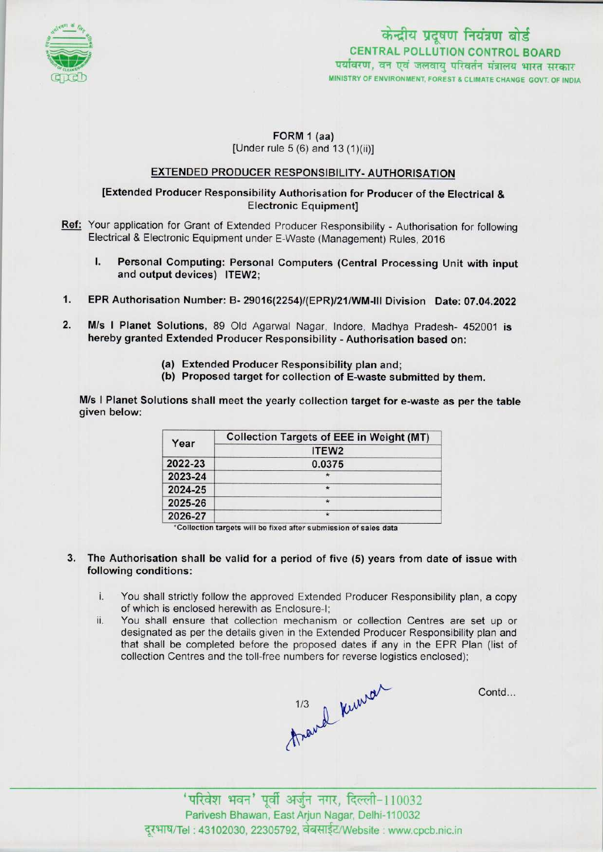



### FORM 1 (aa) [Under rule 5 (6) and 13 (1)(ii)]

## EXTENDED PRODUCER RESPONSIBILITY- AUTHORISATION

### [Extended Producer Responsibility Authorisation for Producer of the Electrical & Electronic Equipment]

- Ref: Your application for Grant of Extended Producer Responsibility Authorisation for following Electrical & Electronic Equipment under E-Waste (Management) Rules, 2016
	- I. Personal Computing: Personal Computers (Central Processing Unit with input and output devices) ITEW2;
- 1.EPR Authorisation Number: B- 29016(2254)/(EPR)/21/WM-lll Division Date: 07.04.2022
- 2. M/s I Planet Solutions, 89 Old Agarwal Nagar, Indore, Madhya Pradesh- 452001 is hereby granted Extended Producer Responsibility • Authorisation based on:
	- (a)Extended Producer Responsibility plan and;
	- (b) Proposed target for collection of E-waste submitted by them.

M/s I Planet Solutions shall meet the yearly collection target for e-waste as per the table given below:

| Year    | <b>Collection Targets of EEE in Weight (MT)</b> |
|---------|-------------------------------------------------|
|         | ITEW <sub>2</sub>                               |
| 2022-23 | 0.0375                                          |
| 2023-24 |                                                 |
| 2024-25 | $\star$                                         |
| 2025-26 | $\star$                                         |
| 2026-27 |                                                 |

'Collection targets will be fixed aftersubmission of sales data

- 3. The Authorisation shall be valid for a period of five (5) years from date of issue with following conditions:
	- i. You shall strictly follow the approved Extended Producer Responsibility plan, <sup>a</sup> copy of which is enclosed herewith as Enclosure-I;
	- ii. You shall ensure that collection mechanism or collection Centres are set up or designated as perthe details given in the Extended Producer Responsibility plan and that shall be completed before the proposed dates if any in the EPR Plan (list of

collection Centres and the toll-free numbers for reverse logistics enclosed);<br> $1/3$   $\mu\mu\nu\sigma\nu$ 

Contd...

'परिवेश भवन' पूर्वी अर्जुन नगर, दिल्ली-110032 Parivesh Bhawan, EastArjun Nagar, Delhi-110032 दूरभाष/Tel : 43102030, 22305792, वेबसाईट/Website : www.cpcb.nic.in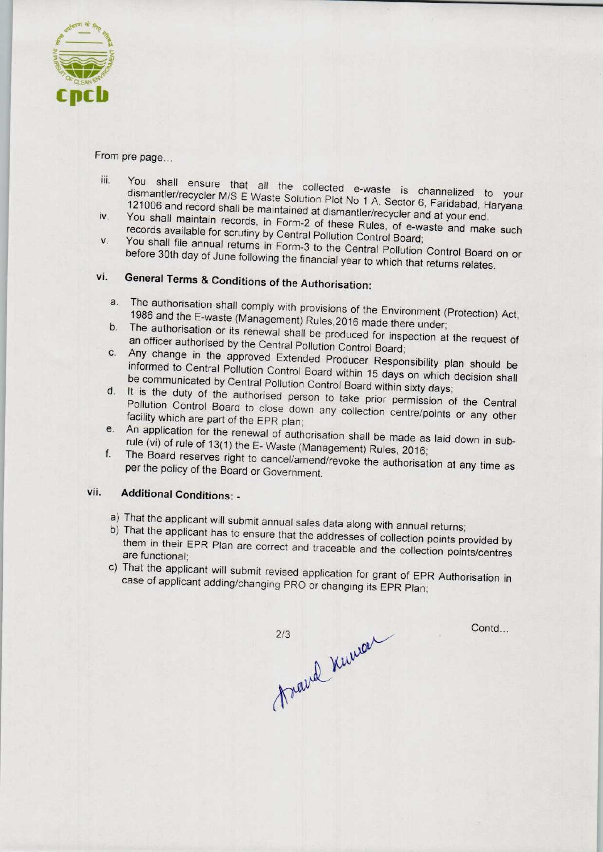

From pre page...

- iii. You shall ensure that all the collected e-waste is a large to your collected to your collected to your collected to your collected to your collected to your collected to your collected to your collected to your collec dismantler/recycler M/S E Waste Solution Plot No. 1.4, Sector 6, Fannelized to your dismantler/recycler M/S E Waste Solution Plot No 1 A, Sector 6, Faridabad, Haryana<br>121006 and record shall be maintained at dismantler/recycler and at your end.<br>You shall maintain records, in Form-2 of these Rules, of e-wa 121006 and record shall be maintained at dismantler/recycler and at your end.<br>iv. You shall maintain records, in Form 2 of the manufacturer and at your end.
- records available for scrutiny by Central Pollution Control Board; records available for scrutiny by Central Pollution Control Board;<br>V. You shall file annual returns in Form-3 to the Central Pollution Control B
- before 30th day of June following the financial year to which the Control Board before 30th day of June following the financial year to which that returns relates.<br>vi. General Terms & Conditions of the Authorisation:

- a.The authorisation shall comply with provisions of the Environment (Protection) Act, 1986 and the E-waste (Management) Rules, 2016 made there under;<br>b. The authorisation or its renewal shall be produced for inspection at the request of
- b. The authorisation or its renewal shall be produced for inspection at the request of an officer authorised by the Central Pollution Control Board:
- c. Any change in the approved Extended Producer Responsibility plan should be informed to Central Pollution Control Board within 15 days on which decision shall be communicated by Central Pollution Control Board within 15 days on which decision shall<br>d. It is the duty of the authorised person to take prior permission of the Central
- It is the duty of the authorised person to take prior permission of the Central Pollution Control Board to close down any collection centre/points or any other facility which are part of the EPR plan;
- e.An application for the renewal of authorisation shall be made as laid down in subrule (vi) of rule of 13(1) the E- Waste (Management) Rules, 2016;
- f. The Board reserves right to cancel/amend/revoke the authorisation at any time as per the policy of the Board or Government.

# vii. Additional Conditions: -

- a) That the applicant will submit annual sales data along with annual returns;
- b)That the applicant has to ensure that the addresses of collection points provided by them in their EPR Plan are correct and traceable and the collection points provided by are functional;
- are functional;<br>c) That the applicant will submit revised application for grant of EPR Authorisation in case of applicant adding/changing PRO or changing its EPR Plan;

2/3 ravel Kuman

Contd...